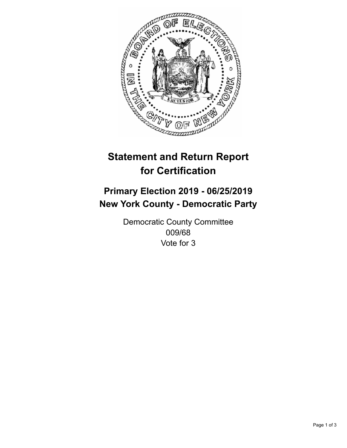

## **Statement and Return Report for Certification**

## **Primary Election 2019 - 06/25/2019 New York County - Democratic Party**

Democratic County Committee 009/68 Vote for 3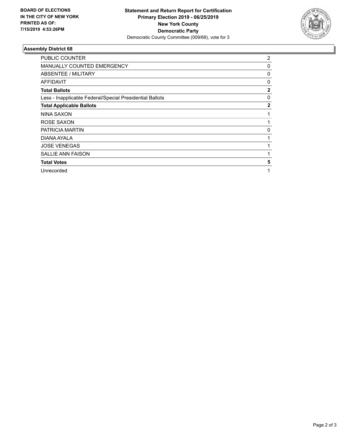

## **Assembly District 68**

| PUBLIC COUNTER                                           | 2            |
|----------------------------------------------------------|--------------|
| <b>MANUALLY COUNTED EMERGENCY</b>                        | 0            |
| ABSENTEE / MILITARY                                      | 0            |
| AFFIDAVIT                                                | 0            |
| <b>Total Ballots</b>                                     | $\mathbf{2}$ |
| Less - Inapplicable Federal/Special Presidential Ballots | 0            |
| <b>Total Applicable Ballots</b>                          | $\mathbf{2}$ |
| NINA SAXON                                               |              |
| ROSE SAXON                                               |              |
| PATRICIA MARTIN                                          | 0            |
| DIANA AYALA                                              |              |
| <b>JOSE VENEGAS</b>                                      |              |
| <b>SALLIE ANN FAISON</b>                                 |              |
| <b>Total Votes</b>                                       | 5            |
| Unrecorded                                               | 1            |